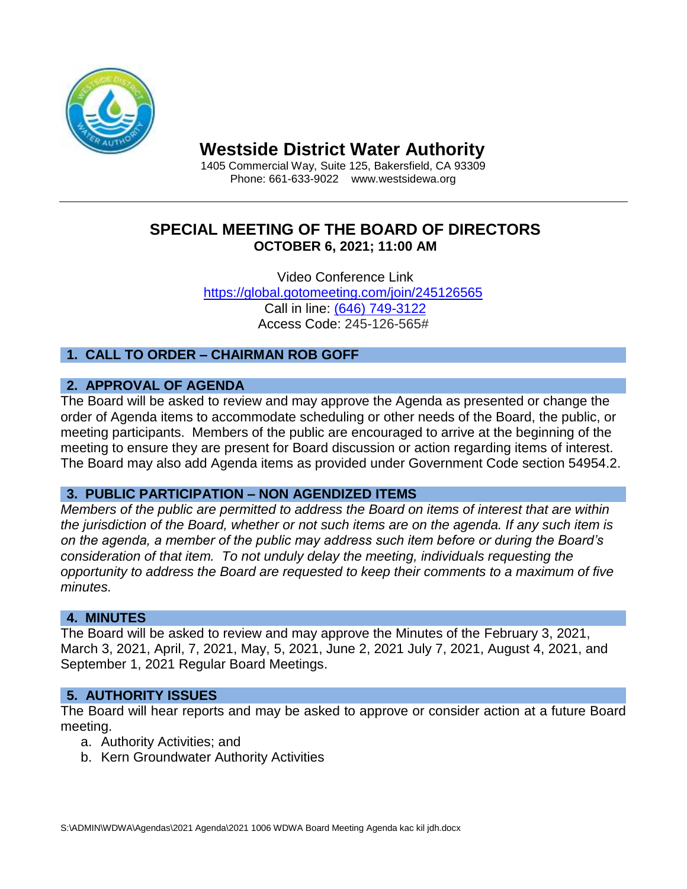

# **Westside District Water Authority**

1405 Commercial Way, Suite 125, Bakersfield, CA 93309 Phone: 661-633-9022 www.westsidewa.org

# **SPECIAL MEETING OF THE BOARD OF DIRECTORS OCTOBER 6, 2021; 11:00 AM**

Video Conference Link <https://global.gotomeeting.com/join/245126565> Call in line: (646) 749-3122 Access Code: 245-126-565#

# **1. CALL TO ORDER – CHAIRMAN ROB GOFF**

## **2. APPROVAL OF AGENDA**

The Board will be asked to review and may approve the Agenda as presented or change the order of Agenda items to accommodate scheduling or other needs of the Board, the public, or meeting participants. Members of the public are encouraged to arrive at the beginning of the meeting to ensure they are present for Board discussion or action regarding items of interest. The Board may also add Agenda items as provided under Government Code section 54954.2.

## **3. PUBLIC PARTICIPATION – NON AGENDIZED ITEMS**

*Members of the public are permitted to address the Board on items of interest that are within the jurisdiction of the Board, whether or not such items are on the agenda. If any such item is on the agenda, a member of the public may address such item before or during the Board's consideration of that item. To not unduly delay the meeting, individuals requesting the opportunity to address the Board are requested to keep their comments to a maximum of five minutes.*

## **4. MINUTES**

The Board will be asked to review and may approve the Minutes of the February 3, 2021, March 3, 2021, April, 7, 2021, May, 5, 2021, June 2, 2021 July 7, 2021, August 4, 2021, and September 1, 2021 Regular Board Meetings.

## **5. AUTHORITY ISSUES**

The Board will hear reports and may be asked to approve or consider action at a future Board meeting.

- a. Authority Activities; and
- b. Kern Groundwater Authority Activities